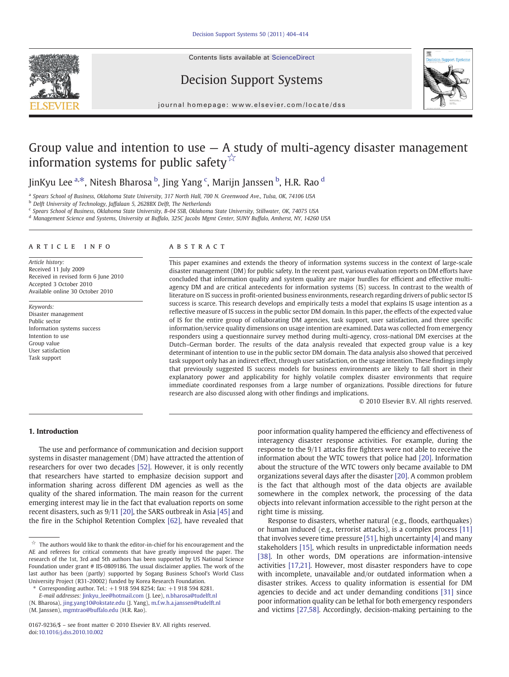Contents lists available at [ScienceDirect](http://www.sciencedirect.com/science/journal/01679236)







journal homepage: www.elsevier.com/locate/dss

## Group value and intention to use  $-$  A study of multi-agency disaster management information systems for public safety $\overline{\mathbb{X}}$

JinKyu Lee <sup>a,\*</sup>, Nitesh Bharosa <sup>b</sup>, Jing Yang <sup>c</sup>, Marijn Janssen <sup>b</sup>, H.R. Rao <sup>d</sup>

<sup>a</sup> Spears School of Business, Oklahoma State University, 317 North Hall, 700 N. Greenwood Ave., Tulsa, OK, 74106 USA

<sup>b</sup> Delft University of Technology, Jaffalaan 5, 2628BX Delft, The Netherlands

<sup>c</sup> Spears School of Business, Oklahoma State University, B-04 SSB, Oklahoma State University, Stillwater, OK, 74075 USA

d Management Science and Systems, University at Buffalo, 325C Jacobs Mgmt Center, SUNY Buffalo, Amherst, NY, 14260 USA

#### article info abstract

Article history: Received 11 July 2009 Received in revised form 6 June 2010 Accepted 3 October 2010 Available online 30 October 2010

Keywords: Disaster management Public sector Information systems success Intention to use Group value User satisfaction Task support

This paper examines and extends the theory of information systems success in the context of large-scale disaster management (DM) for public safety. In the recent past, various evaluation reports on DM efforts have concluded that information quality and system quality are major hurdles for efficient and effective multiagency DM and are critical antecedents for information systems (IS) success. In contrast to the wealth of literature on IS success in profit-oriented business environments, research regarding drivers of public sector IS success is scarce. This research develops and empirically tests a model that explains IS usage intention as a reflective measure of IS success in the public sector DM domain. In this paper, the effects of the expected value of IS for the entire group of collaborating DM agencies, task support, user satisfaction, and three specific information/service quality dimensions on usage intention are examined. Data was collected from emergency responders using a questionnaire survey method during multi-agency, cross-national DM exercises at the Dutch–German border. The results of the data analysis revealed that expected group value is a key determinant of intention to use in the public sector DM domain. The data analysis also showed that perceived task support only has an indirect effect, through user satisfaction, on the usage intention. These findings imply that previously suggested IS success models for business environments are likely to fall short in their explanatory power and applicability for highly volatile complex disaster environments that require immediate coordinated responses from a large number of organizations. Possible directions for future research are also discussed along with other findings and implications.

© 2010 Elsevier B.V. All rights reserved.

### 1. Introduction

The use and performance of communication and decision support systems in disaster management (DM) have attracted the attention of researchers for over two decades [\[52\].](#page--1-0) However, it is only recently that researchers have started to emphasize decision support and information sharing across different DM agencies as well as the quality of the shared information. The main reason for the current emerging interest may lie in the fact that evaluation reports on some recent disasters, such as 9/11 [\[20\],](#page--1-0) the SARS outbreak in Asia [\[45\]](#page--1-0) and the fire in the Schiphol Retention Complex [\[62\]](#page--1-0), have revealed that

⁎ Corresponding author. Tel.: +1 918 594 8254; fax: +1 918 594 8281.

E-mail addresses: [Jinkyu\\_lee@hotmail.com](mailto:Jinkyu_lee@hotmail.com) (J. Lee), [n.bharosa@tudelft.nl](mailto:n.bharosa@tudelft.nl)

(N. Bharosa), [jing.yang10@okstate.edu](mailto:jing.yang10@okstate.edu) (J. Yang), [m.f.w.h.a.janssen@tudelft.nl](mailto:m.f.w.h.a.janssen@tudelft.nl) (M. Janssen), [mgmtrao@buffalo.edu](mailto:mgmtrao@buffalo.edu) (H.R. Rao).

poor information quality hampered the efficiency and effectiveness of interagency disaster response activities. For example, during the response to the 9/11 attacks fire fighters were not able to receive the information about the WTC towers that police had [\[20\]](#page--1-0). Information about the structure of the WTC towers only became available to DM organizations several days after the disaster [\[20\].](#page--1-0) A common problem is the fact that although most of the data objects are available somewhere in the complex network, the processing of the data objects into relevant information accessible to the right person at the right time is missing.

Response to disasters, whether natural (e.g., floods, earthquakes) or human induced (e.g., terrorist attacks), is a complex process [\[11\]](#page--1-0) that involves severe time pressure [\[51\],](#page--1-0) high uncertainty [\[4\]](#page--1-0) and many stakeholders [\[15\]](#page--1-0), which results in unpredictable information needs [\[38\].](#page--1-0) In other words, DM operations are information-intensive activities [\[17,21\]](#page--1-0). However, most disaster responders have to cope with incomplete, unavailable and/or outdated information when a disaster strikes. Access to quality information is essential for DM agencies to decide and act under demanding conditions [\[31\]](#page--1-0) since poor information quality can be lethal for both emergency responders and victims [\[27,58\]](#page--1-0). Accordingly, decision-making pertaining to the

 $\overrightarrow{a}$  The authors would like to thank the editor-in-chief for his encouragement and the AE and referees for critical comments that have greatly improved the paper. The research of the 1st, 3rd and 5th authors has been supported by US National Science Foundation under grant # IIS-0809186. The usual disclaimer applies. The work of the last author has been (partly) supported by Sogang Business School's World Class University Project (R31-20002) funded by Korea Research Foundation.

<sup>0167-9236/\$</sup> – see front matter © 2010 Elsevier B.V. All rights reserved. doi[:10.1016/j.dss.2010.10.002](http://dx.doi.org/10.1016/j.dss.2010.10.002)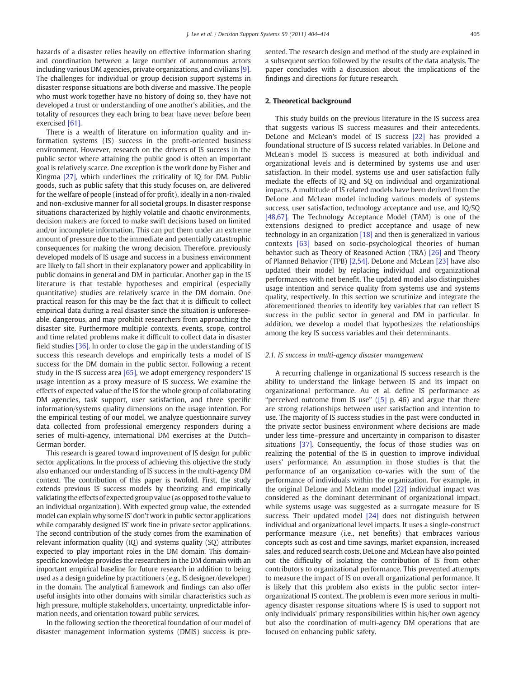hazards of a disaster relies heavily on effective information sharing and coordination between a large number of autonomous actors including various DM agencies, private organizations, and civilians [\[9\].](#page--1-0) The challenges for individual or group decision support systems in disaster response situations are both diverse and massive. The people who must work together have no history of doing so, they have not developed a trust or understanding of one another's abilities, and the totality of resources they each bring to bear have never before been exercised [\[61\].](#page--1-0)

There is a wealth of literature on information quality and information systems (IS) success in the profit-oriented business environment. However, research on the drivers of IS success in the public sector where attaining the public good is often an important goal is relatively scarce. One exception is the work done by Fisher and Kingma [\[27\],](#page--1-0) which underlines the criticality of IQ for DM. Public goods, such as public safety that this study focuses on, are delivered for the welfare of people (instead of for profit), ideally in a non-rivaled and non-exclusive manner for all societal groups. In disaster response situations characterized by highly volatile and chaotic environments, decision makers are forced to make swift decisions based on limited and/or incomplete information. This can put them under an extreme amount of pressure due to the immediate and potentially catastrophic consequences for making the wrong decision. Therefore, previously developed models of IS usage and success in a business environment are likely to fall short in their explanatory power and applicability in public domains in general and DM in particular. Another gap in the IS literature is that testable hypotheses and empirical (especially quantitative) studies are relatively scarce in the DM domain. One practical reason for this may be the fact that it is difficult to collect empirical data during a real disaster since the situation is unforeseeable, dangerous, and may prohibit researchers from approaching the disaster site. Furthermore multiple contexts, events, scope, control and time related problems make it difficult to collect data in disaster field studies [\[36\].](#page--1-0) In order to close the gap in the understanding of IS success this research develops and empirically tests a model of IS success for the DM domain in the public sector. Following a recent study in the IS success area [\[65\]](#page--1-0), we adopt emergency responders' IS usage intention as a proxy measure of IS success. We examine the effects of expected value of the IS for the whole group of collaborating DM agencies, task support, user satisfaction, and three specific information/systems quality dimensions on the usage intention. For the empirical testing of our model, we analyze questionnaire survey data collected from professional emergency responders during a series of multi-agency, international DM exercises at the Dutch– German border.

This research is geared toward improvement of IS design for public sector applications. In the process of achieving this objective the study also enhanced our understanding of IS success in the multi-agency DM context. The contribution of this paper is twofold. First, the study extends previous IS success models by theorizing and empirically validating the effects of expected group value (as opposed to the value to an individual organization). With expected group value, the extended model can explain why some IS' don't work in public sector applications while comparably designed IS' work fine in private sector applications. The second contribution of the study comes from the examination of relevant information quality (IQ) and systems quality (SQ) attributes expected to play important roles in the DM domain. This domainspecific knowledge provides the researchers in the DM domain with an important empirical baseline for future research in addition to being used as a design guideline by practitioners (e.g., IS designer/developer) in the domain. The analytical framework and findings can also offer useful insights into other domains with similar characteristics such as high pressure, multiple stakeholders, uncertainty, unpredictable information needs, and orientation toward public services.

In the following section the theoretical foundation of our model of disaster management information systems (DMIS) success is presented. The research design and method of the study are explained in a subsequent section followed by the results of the data analysis. The paper concludes with a discussion about the implications of the findings and directions for future research.

#### 2. Theoretical background

This study builds on the previous literature in the IS success area that suggests various IS success measures and their antecedents. DeLone and McLean's model of IS success [\[22\]](#page--1-0) has provided a foundational structure of IS success related variables. In DeLone and McLean's model IS success is measured at both individual and organizational levels and is determined by systems use and user satisfaction. In their model, systems use and user satisfaction fully mediate the effects of IQ and SQ on individual and organizational impacts. A multitude of IS related models have been derived from the DeLone and McLean model including various models of systems success, user satisfaction, technology acceptance and use, and IQ/SQ [\[48,67\]](#page--1-0). The Technology Acceptance Model (TAM) is one of the extensions designed to predict acceptance and usage of new technology in an organization [\[18\]](#page--1-0) and then is generalized in various contexts [\[63\]](#page--1-0) based on socio-psychological theories of human behavior such as Theory of Reasoned Action (TRA) [\[26\]](#page--1-0) and Theory of Planned Behavior (TPB) [\[2,54\]](#page--1-0). DeLone and McLean [\[23\]](#page--1-0) have also updated their model by replacing individual and organizational performances with net benefit. The updated model also distinguishes usage intention and service quality from systems use and systems quality, respectively. In this section we scrutinize and integrate the aforementioned theories to identify key variables that can reflect IS success in the public sector in general and DM in particular. In addition, we develop a model that hypothesizes the relationships among the key IS success variables and their determinants.

#### 2.1. IS success in multi-agency disaster management

A recurring challenge in organizational IS success research is the ability to understand the linkage between IS and its impact on organizational performance. Au et al. define IS performance as "perceived outcome from IS use" ([\[5\]](#page--1-0) p. 46) and argue that there are strong relationships between user satisfaction and intention to use. The majority of IS success studies in the past were conducted in the private sector business environment where decisions are made under less time–pressure and uncertainty in comparison to disaster situations [\[37\]](#page--1-0). Consequently, the focus of those studies was on realizing the potential of the IS in question to improve individual users' performance. An assumption in those studies is that the performance of an organization co-varies with the sum of the performance of individuals within the organization. For example, in the original DeLone and McLean model [\[22\]](#page--1-0) individual impact was considered as the dominant determinant of organizational impact, while systems usage was suggested as a surrogate measure for IS success. Their updated model [\[24\]](#page--1-0) does not distinguish between individual and organizational level impacts. It uses a single-construct performance measure (i.e., net benefits) that embraces various concepts such as cost and time savings, market expansion, increased sales, and reduced search costs. DeLone and McLean have also pointed out the difficulty of isolating the contribution of IS from other contributors to organizational performance. This prevented attempts to measure the impact of IS on overall organizational performance. It is likely that this problem also exists in the public sector interorganizational IS context. The problem is even more serious in multiagency disaster response situations where IS is used to support not only individuals' primary responsibilities within his/her own agency but also the coordination of multi-agency DM operations that are focused on enhancing public safety.